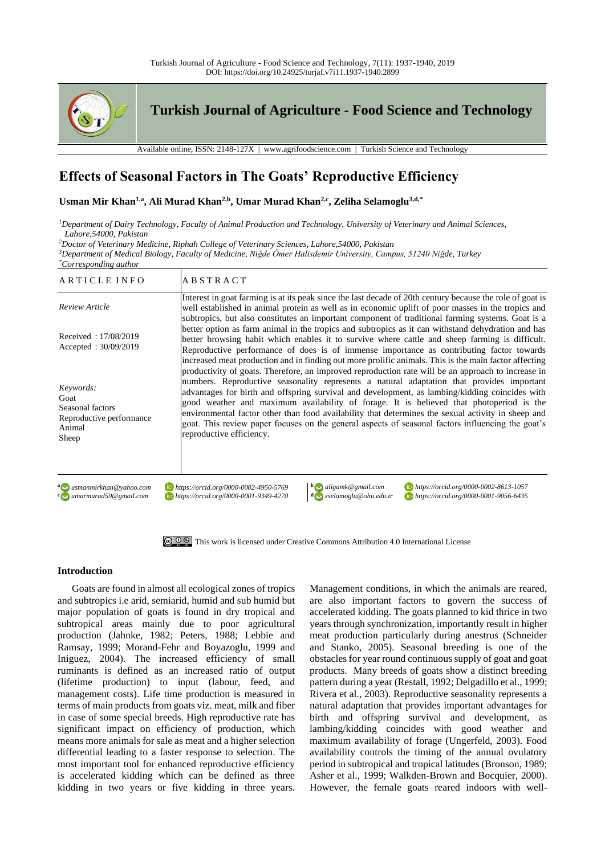

# **Effects of Seasonal Factors in The Goats' Reproductive Efficiency**

## **Usman Mir Khan1,a, Ali Murad Khan2,b, Umar Murad Khan2,c, Zeliha Selamoglu3,d,\***

*<sup>1</sup>Department of Dairy Technology, Faculty of Animal Production and Technology, University of Veterinary and Animal Sciences, Lahore,54000, Pakistan*

*<sup>2</sup>Doctor of Veterinary Medicine, Riphah College of Veterinary Sciences, Lahore,54000, Pakistan*

*<sup>3</sup>Department of Medical Biology, Faculty of Medicine, Niğde Ömer Halisdemir University, Campus, 51240 Niğde, Turkey \*Corresponding author*

| ARTICLE INFO                                                                         | <b>ABSTRACT</b>                                                                                                                                                                                                                                                                                                                                                                                                                                                                                                               |
|--------------------------------------------------------------------------------------|-------------------------------------------------------------------------------------------------------------------------------------------------------------------------------------------------------------------------------------------------------------------------------------------------------------------------------------------------------------------------------------------------------------------------------------------------------------------------------------------------------------------------------|
| Review Article                                                                       | Interest in goat farming is at its peak since the last decade of 20th century because the role of goat is<br>well established in animal protein as well as in economic uplift of poor masses in the tropics and<br>subtropics, but also constitutes an important component of traditional farming systems. Goat is a                                                                                                                                                                                                          |
| Received: 17/08/2019<br>Accepted: $30/09/2019$                                       | better option as farm animal in the tropics and subtropics as it can withstand dehydration and has<br>better browsing habit which enables it to survive where cattle and sheep farming is difficult.<br>Reproductive performance of does is of immense importance as contributing factor towards<br>increased meat production and in finding out more prolific animals. This is the main factor affecting<br>productivity of goats. Therefore, an improved reproduction rate will be an approach to increase in               |
| Keywords:<br>Goat<br>Seasonal factors<br>Reproductive performance<br>Animal<br>Sheep | numbers. Reproductive seasonality represents a natural adaptation that provides important<br>advantages for birth and offspring survival and development, as lambing/kidding coincides with<br>good weather and maximum availability of forage. It is believed that photoperiod is the<br>environmental factor other than food availability that determines the sexual activity in sheep and<br>goat. This review paper focuses on the general aspects of seasonal factors influencing the goat's<br>reproductive efficiency. |
| a a usmanmirkhan@vahoo.com<br><sup>c</sup> imarmurad59@gmail.com                     | https://orcid.org/0000-0002-8613-1057<br>$\mathbf{b}$ aligamk@gmail.com<br>https://orcid.org/0000-0002-4950-5769<br>https://orcid.org/0000-0001-9056-6435<br>https://orcid.org/0000-0001-9349-4270<br>$d_{\text{S}}$ zselamoglu@ohu.edu.tr                                                                                                                                                                                                                                                                                    |

[This work is licensed under Creative Commons Attribution 4.0 International License](http://creativecommons.org/licenses/by-nc/4.0/)

## **Introduction**

Goats are found in almost all ecological zones of tropics and subtropics i.e arid, semiarid, humid and sub humid but major population of goats is found in dry tropical and subtropical areas mainly due to poor agricultural production (Jahnke, 1982; Peters, 1988; Lebbie and Ramsay, 1999; Morand-Fehr and Boyazoglu, 1999 and Iniguez, 2004). The increased efficiency of small ruminants is defined as an increased ratio of output (lifetime production) to input (labour, feed, and management costs). Life time production is measured in terms of main products from goats viz. meat, milk and fiber in case of some special breeds. High reproductive rate has significant impact on efficiency of production, which means more animals for sale as meat and a higher selection differential leading to a faster response to selection. The most important tool for enhanced reproductive efficiency is accelerated kidding which can be defined as three kidding in two years or five kidding in three years.

Management conditions, in which the animals are reared, are also important factors to govern the success of accelerated kidding. The goats planned to kid thrice in two years through synchronization, importantly result in higher meat production particularly during anestrus (Schneider and Stanko, 2005). Seasonal breeding is one of the obstacles for year round continuous supply of goat and goat products. Many breeds of goats show a distinct breeding pattern during a year (Restall, 1992; Delgadillo et al., 1999; Rivera et al., 2003). Reproductive seasonality represents a natural adaptation that provides important advantages for birth and offspring survival and development, as lambing/kidding coincides with good weather and maximum availability of forage (Ungerfeld, 2003). Food availability controls the timing of the annual ovulatory period in subtropical and tropical latitudes (Bronson, 1989; Asher et al., 1999; Walkden-Brown and Bocquier, 2000). However, the female goats reared indoors with well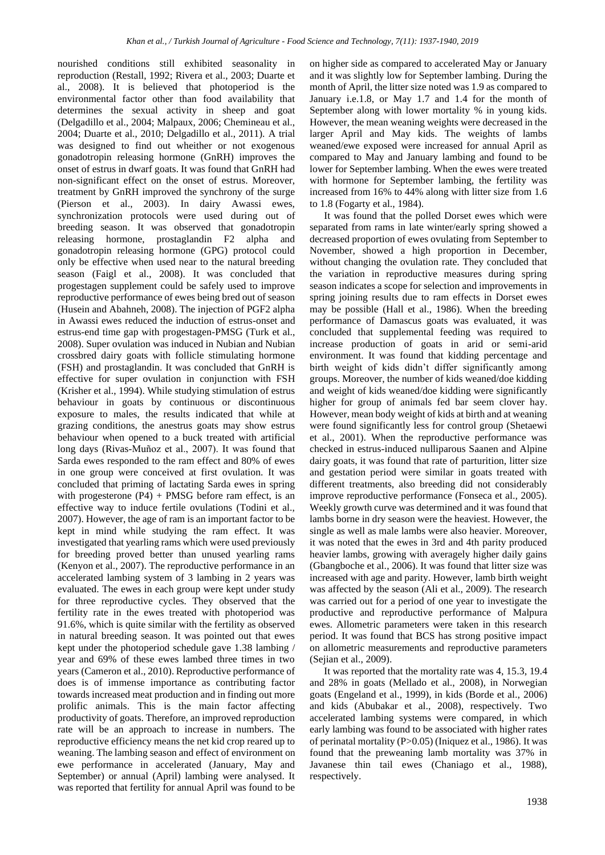nourished conditions still exhibited seasonality in reproduction (Restall, 1992; Rivera et al., 2003; Duarte et al., 2008). It is believed that photoperiod is the environmental factor other than food availability that determines the sexual activity in sheep and goat (Delgadillo et al., 2004; Malpaux, 2006; Chemineau et al., 2004; Duarte et al., 2010; Delgadillo et al., 2011). A trial was designed to find out wheither or not exogenous gonadotropin releasing hormone (GnRH) improves the onset of estrus in dwarf goats. It was found that GnRH had non-significant effect on the onset of estrus. Moreover, treatment by GnRH improved the synchrony of the surge (Pierson et al., 2003). In dairy Awassi ewes, synchronization protocols were used during out of breeding season. It was observed that gonadotropin releasing hormone, prostaglandin F2 alpha and gonadotropin releasing hormone (GPG) protocol could only be effective when used near to the natural breeding season (Faigl et al., 2008). It was concluded that progestagen supplement could be safely used to improve reproductive performance of ewes being bred out of season (Husein and Abahneh, 2008). The injection of PGF2 alpha in Awassi ewes reduced the induction of estrus-onset and estrus-end time gap with progestagen-PMSG (Turk et al., 2008). Super ovulation was induced in Nubian and Nubian crossbred dairy goats with follicle stimulating hormone (FSH) and prostaglandin. It was concluded that GnRH is effective for super ovulation in conjunction with FSH (Krisher et al., 1994). While studying stimulation of estrus behaviour in goats by continuous or discontinuous exposure to males, the results indicated that while at grazing conditions, the anestrus goats may show estrus behaviour when opened to a buck treated with artificial long days (Rivas-Muñoz et al., 2007). It was found that Sarda ewes responded to the ram effect and 80% of ewes in one group were conceived at first ovulation. It was concluded that priming of lactating Sarda ewes in spring with progesterone  $(P4)$  + PMSG before ram effect, is an effective way to induce fertile ovulations (Todini et al., 2007). However, the age of ram is an important factor to be kept in mind while studying the ram effect. It was investigated that yearling rams which were used previously for breeding proved better than unused yearling rams (Kenyon et al., 2007). The reproductive performance in an accelerated lambing system of 3 lambing in 2 years was evaluated. The ewes in each group were kept under study for three reproductive cycles. They observed that the fertility rate in the ewes treated with photoperiod was 91.6%, which is quite similar with the fertility as observed in natural breeding season. It was pointed out that ewes kept under the photoperiod schedule gave 1.38 lambing / year and 69% of these ewes lambed three times in two years (Cameron et al., 2010). Reproductive performance of does is of immense importance as contributing factor towards increased meat production and in finding out more prolific animals. This is the main factor affecting productivity of goats. Therefore, an improved reproduction rate will be an approach to increase in numbers. The reproductive efficiency means the net kid crop reared up to weaning. The lambing season and effect of environment on ewe performance in accelerated (January, May and September) or annual (April) lambing were analysed. It was reported that fertility for annual April was found to be

on higher side as compared to accelerated May or January and it was slightly low for September lambing. During the month of April, the litter size noted was 1.9 as compared to January i.e.1.8, or May 1.7 and 1.4 for the month of September along with lower mortality % in young kids. However, the mean weaning weights were decreased in the larger April and May kids. The weights of lambs weaned/ewe exposed were increased for annual April as compared to May and January lambing and found to be lower for September lambing. When the ewes were treated with hormone for September lambing, the fertility was increased from 16% to 44% along with litter size from 1.6 to 1.8 (Fogarty et al., 1984).

It was found that the polled Dorset ewes which were separated from rams in late winter/early spring showed a decreased proportion of ewes ovulating from September to November, showed a high proportion in December, without changing the ovulation rate. They concluded that the variation in reproductive measures during spring season indicates a scope for selection and improvements in spring joining results due to ram effects in Dorset ewes may be possible (Hall et al., 1986). When the breeding performance of Damascus goats was evaluated, it was concluded that supplemental feeding was required to increase production of goats in arid or semi-arid environment. It was found that kidding percentage and birth weight of kids didn't differ significantly among groups. Moreover, the number of kids weaned/doe kidding and weight of kids weaned/doe kidding were significantly higher for group of animals fed bar seem clover hay. However, mean body weight of kids at birth and at weaning were found significantly less for control group (Shetaewi et al., 2001). When the reproductive performance was checked in estrus-induced nulliparous Saanen and Alpine dairy goats, it was found that rate of parturition, litter size and gestation period were similar in goats treated with different treatments, also breeding did not considerably improve reproductive performance (Fonseca et al., 2005). Weekly growth curve was determined and it was found that lambs borne in dry season were the heaviest. However, the single as well as male lambs were also heavier. Moreover, it was noted that the ewes in 3rd and 4th parity produced heavier lambs, growing with averagely higher daily gains (Gbangboche et al., 2006). It was found that litter size was increased with age and parity. However, lamb birth weight was affected by the season (Ali et al., 2009). The research was carried out for a period of one year to investigate the productive and reproductive performance of Malpura ewes. Allometric parameters were taken in this research period. It was found that BCS has strong positive impact on allometric measurements and reproductive parameters (Sejian et al., 2009).

It was reported that the mortality rate was 4, 15.3, 19.4 and 28% in goats (Mellado et al., 2008), in Norwegian goats (Engeland et al., 1999), in kids (Borde et al., 2006) and kids (Abubakar et al., 2008), respectively. Two accelerated lambing systems were compared, in which early lambing was found to be associated with higher rates of perinatal mortality (P>0.05) (Iniquez et al., 1986). It was found that the preweaning lamb mortality was 37% in Javanese thin tail ewes (Chaniago et al., 1988), respectively.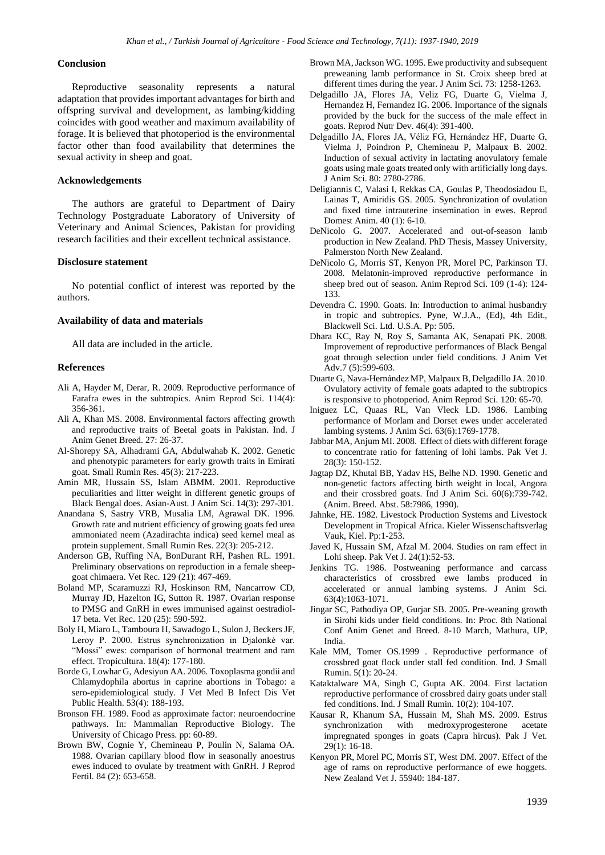#### **Conclusion**

Reproductive seasonality represents a natural adaptation that provides important advantages for birth and offspring survival and development, as lambing/kidding coincides with good weather and maximum availability of forage. It is believed that photoperiod is the environmental factor other than food availability that determines the sexual activity in sheep and goat.

### **Acknowledgements**

The authors are grateful to Department of Dairy Technology Postgraduate Laboratory of University of Veterinary and Animal Sciences, Pakistan for providing research facilities and their excellent technical assistance.

# **Disclosure statement**

No potential conflict of interest was reported by the authors.

#### **Availability of data and materials**

All data are included in the article.

#### **References**

- Ali A, Hayder M, Derar, R. 2009. Reproductive performance of Farafra ewes in the subtropics. Anim Reprod Sci. 114(4): 356-361.
- Ali A, Khan MS. 2008. Environmental factors affecting growth and reproductive traits of Beetal goats in Pakistan. Ind. J Anim Genet Breed. 27: 26-37.
- Al-Shorepy SA, Alhadrami GA, Abdulwahab K. 2002. Genetic and phenotypic parameters for early growth traits in Emirati goat. Small Rumin Res. 45(3): 217-223.
- Amin MR, Hussain SS, Islam ABMM. 2001. Reproductive peculiarities and litter weight in different genetic groups of Black Bengal does. Asian-Aust. J Anim Sci. 14(3): 297-301.
- Anandana S, Sastry VRB, Musalia LM, Agrawal DK. 1996. Growth rate and nutrient efficiency of growing goats fed urea ammoniated neem (Azadirachta indica) seed kernel meal as protein supplement. Small Rumin Res. 22(3): 205-212.
- Anderson GB, Ruffing NA, BonDurant RH, Pashen RL. 1991. Preliminary observations on reproduction in a female sheepgoat chimaera. Vet Rec. 129 (21): 467-469.
- Boland MP, Scaramuzzi RJ, Hoskinson RM, Nancarrow CD, Murray JD, Hazelton IG, Sutton R. 1987. Ovarian response to PMSG and GnRH in ewes immunised against oestradiol-17 beta. Vet Rec. 120 (25): 590-592.
- Boly H, Miaro L, Tamboura H, Sawadogo L, Sulon J, Beckers JF, Leroy P. 2000. Estrus synchronization in Djalonké var. "Mossi" ewes: comparison of hormonal treatment and ram effect. Tropicultura. 18(4): 177-180.
- Borde G, Lowhar G, Adesiyun AA. 2006. Toxoplasma gondii and Chlamydophila abortus in caprine abortions in Tobago: a sero-epidemiological study. J Vet Med B Infect Dis Vet Public Health. 53(4): 188-193.
- Bronson FH. 1989. Food as approximate factor: neuroendocrine pathways. In: Mammalian Reproductive Biology. The University of Chicago Press. pp: 60-89.
- Brown BW, Cognie Y, Chemineau P, Poulin N, Salama OA. 1988. Ovarian capillary blood flow in seasonally anoestrus ewes induced to ovulate by treatment with GnRH. J Reprod Fertil. 84 (2): 653-658.
- Brown MA, Jackson WG. 1995. Ewe productivity and subsequent preweaning lamb performance in St. Croix sheep bred at different times during the year. J Anim Sci. 73: 1258-1263.
- Delgadillo JA, Flores JA, Veliz FG, Duarte G, Vielma J, Hernandez H, Fernandez IG. 2006. Importance of the signals provided by the buck for the success of the male effect in goats. Reprod Nutr Dev. 46(4): 391-400.
- Delgadillo JA, Flores JA, Véliz FG, Hernández HF, Duarte G, Vielma J, Poindron P, Chemineau P, Malpaux B. 2002. Induction of sexual activity in lactating anovulatory female goats using male goats treated only with artificially long days. J Anim Sci. 80: 2780-2786.
- Deligiannis C, Valasi I, Rekkas CA, Goulas P, Theodosiadou E, Lainas T, Amiridis GS. 2005. Synchronization of ovulation and fixed time intrauterine insemination in ewes. Reprod Domest Anim. 40 (1): 6-10.
- DeNicolo G. 2007. Accelerated and out-of-season lamb production in New Zealand. PhD Thesis, Massey University, Palmerston North New Zealand.
- DeNicolo G, Morris ST, Kenyon PR, Morel PC, Parkinson TJ. 2008. Melatonin-improved reproductive performance in sheep bred out of season. Anim Reprod Sci. 109 (1-4): 124- 133.
- Devendra C. 1990. Goats. In: Introduction to animal husbandry in tropic and subtropics. Pyne, W.J.A., (Ed), 4th Edit., Blackwell Sci. Ltd. U.S.A. Pp: 505.
- Dhara KC, Ray N, Roy S, Samanta AK, Senapati PK. 2008. Improvement of reproductive performances of Black Bengal goat through selection under field conditions. J Anim Vet Adv.7 (5):599-603.
- Duarte G, Nava-Hernández MP, Malpaux B, Delgadillo JA. 2010. Ovulatory activity of female goats adapted to the subtropics is responsive to photoperiod. Anim Reprod Sci. 120: 65-70.
- Iniguez LC, Quaas RL, Van Vleck LD. 1986. Lambing performance of Morlam and Dorset ewes under accelerated lambing systems. J Anim Sci. 63(6):1769-1778.
- Jabbar MA, Anjum MI. 2008. Effect of diets with different forage to concentrate ratio for fattening of lohi lambs. Pak Vet J. 28(3): 150-152.
- Jagtap DZ, Khutal BB, Yadav HS, Belhe ND. 1990. Genetic and non-genetic factors affecting birth weight in local, Angora and their crossbred goats. Ind J Anim Sci. 60(6):739-742. (Anim. Breed. Abst. 58:7986, 1990).
- Jahnke, HE. 1982. Livestock Production Systems and Livestock Development in Tropical Africa. Kieler Wissenschaftsverlag Vauk, Kiel. Pp:1-253.
- Javed K, Hussain SM, Afzal M. 2004. Studies on ram effect in Lohi sheep. Pak Vet J. 24(1):52-53.
- Jenkins TG. 1986. Postweaning performance and carcass characteristics of crossbred ewe lambs produced in accelerated or annual lambing systems. J Anim Sci. 63(4):1063-1071.
- Jingar SC, Pathodiya OP, Gurjar SB. 2005. Pre-weaning growth in Sirohi kids under field conditions. In: Proc. 8th National Conf Anim Genet and Breed. 8-10 March, Mathura, UP, India.
- Kale MM, Tomer OS.1999 . Reproductive performance of crossbred goat flock under stall fed condition. Ind. J Small Rumin. 5(1): 20-24.
- Kataktalware MA, Singh C, Gupta AK. 2004. First lactation reproductive performance of crossbred dairy goats under stall fed conditions. Ind. J Small Rumin. 10(2): 104-107.
- Kausar R, Khanum SA, Hussain M, Shah MS. 2009. Estrus synchronization with medroxyprogesterone acetate impregnated sponges in goats (Capra hircus). Pak J Vet. 29(1): 16-18.
- Kenyon PR, Morel PC, Morris ST, West DM. 2007. Effect of the age of rams on reproductive performance of ewe hoggets. New Zealand Vet J. 55940: 184-187.